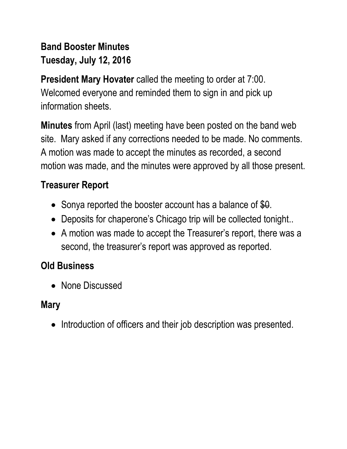# **Band Booster Minutes Tuesday, July 12, 2016**

**President Mary Hovater** called the meeting to order at 7:00. Welcomed everyone and reminded them to sign in and pick up information sheets.

**Minutes** from April (last) meeting have been posted on the band web site. Mary asked if any corrections needed to be made. No comments. A motion was made to accept the minutes as recorded, a second motion was made, and the minutes were approved by all those present.

## **Treasurer Report**

- Sonya reported the booster account has a balance of  $$0.$
- Deposits for chaperone's Chicago trip will be collected tonight...
- A motion was made to accept the Treasurer's report, there was a second, the treasurer's report was approved as reported.

# **Old Business**

• None Discussed

#### **Mary**

• Introduction of officers and their job description was presented.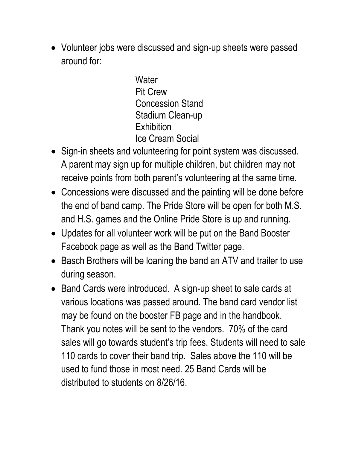Volunteer jobs were discussed and sign-up sheets were passed around for:

> **Water** Pit Crew Concession Stand Stadium Clean-up **Exhibition** Ice Cream Social

- Sign-in sheets and volunteering for point system was discussed. A parent may sign up for multiple children, but children may not receive points from both parent's volunteering at the same time.
- Concessions were discussed and the painting will be done before the end of band camp. The Pride Store will be open for both M.S. and H.S. games and the Online Pride Store is up and running.
- Updates for all volunteer work will be put on the Band Booster Facebook page as well as the Band Twitter page.
- Basch Brothers will be loaning the band an ATV and trailer to use during season.
- Band Cards were introduced. A sign-up sheet to sale cards at various locations was passed around. The band card vendor list may be found on the booster FB page and in the handbook. Thank you notes will be sent to the vendors. 70% of the card sales will go towards student's trip fees. Students will need to sale 110 cards to cover their band trip. Sales above the 110 will be used to fund those in most need. 25 Band Cards will be distributed to students on 8/26/16.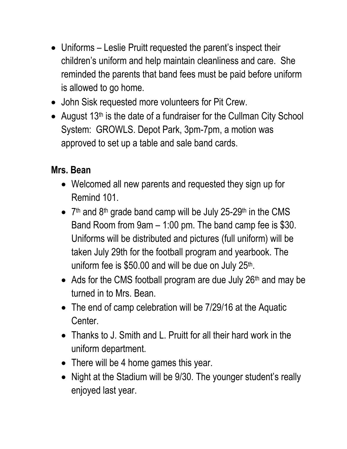- Uniforms Leslie Pruitt requested the parent's inspect their children's uniform and help maintain cleanliness and care. She reminded the parents that band fees must be paid before uniform is allowed to go home.
- John Sisk requested more volunteers for Pit Crew.
- August  $13<sup>th</sup>$  is the date of a fundraiser for the Cullman City School System: GROWLS. Depot Park, 3pm-7pm, a motion was approved to set up a table and sale band cards.

### **Mrs. Bean**

- Welcomed all new parents and requested they sign up for Remind 101.
- $\bullet$  7<sup>th</sup> and 8<sup>th</sup> grade band camp will be July 25-29<sup>th</sup> in the CMS Band Room from 9am – 1:00 pm. The band camp fee is \$30. Uniforms will be distributed and pictures (full uniform) will be taken July 29th for the football program and yearbook. The uniform fee is \$50.00 and will be due on July 25<sup>th</sup>.
- Ads for the CMS football program are due July 26<sup>th</sup> and may be turned in to Mrs. Bean.
- The end of camp celebration will be 7/29/16 at the Aquatic Center.
- Thanks to J. Smith and L. Pruitt for all their hard work in the uniform department.
- There will be 4 home games this year.
- Night at the Stadium will be 9/30. The younger student's really enjoyed last year.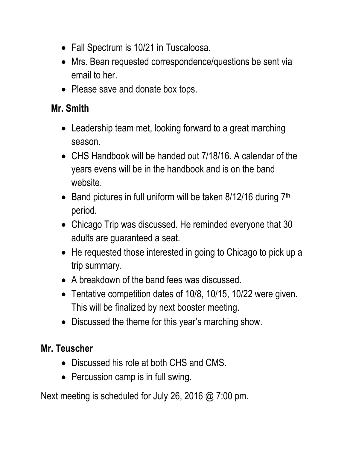- Fall Spectrum is 10/21 in Tuscaloosa.
- Mrs. Bean requested correspondence/questions be sent via email to her.
- Please save and donate box tops.

### **Mr. Smith**

- Leadership team met, looking forward to a great marching season.
- CHS Handbook will be handed out 7/18/16. A calendar of the years evens will be in the handbook and is on the band website.
- Band pictures in full uniform will be taken  $8/12/16$  during  $7<sup>th</sup>$ period.
- Chicago Trip was discussed. He reminded everyone that 30 adults are guaranteed a seat.
- He requested those interested in going to Chicago to pick up a trip summary.
- A breakdown of the band fees was discussed.
- Tentative competition dates of 10/8, 10/15, 10/22 were given. This will be finalized by next booster meeting.
- Discussed the theme for this year's marching show.

## **Mr. Teuscher**

- Discussed his role at both CHS and CMS.
- Percussion camp is in full swing.

Next meeting is scheduled for July 26, 2016 @ 7:00 pm.